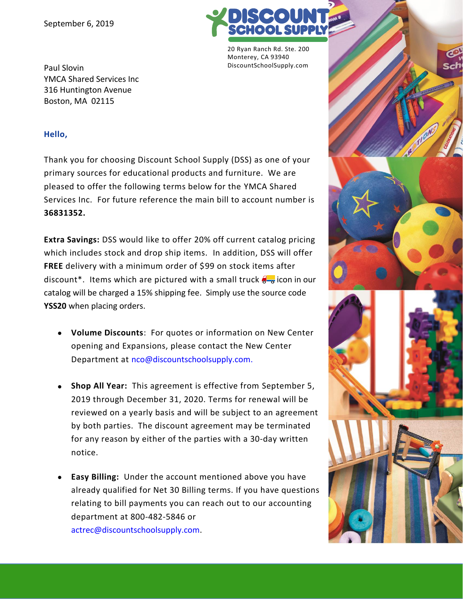

20 Ryan Ranch Rd. Ste. 200 Monterey, CA 93940 DiscountSchoolSupply.com

Paul Slovin YMCA Shared Services Inc 316 Huntington Avenue Boston, MA 02115

## **Hello,**

Thank you for choosing Discount School Supply (DSS) as one of your primary sources for educational products and furniture. We are pleased to offer the following terms below for the YMCA Shared Services Inc. For future reference the main bill to account number is **36831352.**

**Extra Savings:** DSS would like to offer 20% off current catalog pricing which includes stock and drop ship items. In addition, DSS will offer **FREE** delivery with a minimum order of \$99 on stock items after discount<sup>\*</sup>. Items which are pictured with a small truck  $\frac{1}{2}$  icon in our catalog will be charged a 15% shipping fee. Simply use the source code **YSS20** when placing orders.

- **Volume Discounts**: For quotes or information on New Center opening and Expansions, please contact the New Center Department at [nco@discountschoolsupply.com.](mailto:nco@discountschoolsupply.com)
- **Shop All Year:** This agreement is effective from September 5, 2019 through December 31, 2020. Terms for renewal will be reviewed on a yearly basis and will be subject to an agreement by both parties. The discount agreement may be terminated for any reason by either of the parties with a 30-day written notice.
- **Easy Billing:** Under the account mentioned above you have already qualified for Net 30 Billing terms. If you have questions relating to bill payments you can reach out to our accounting department at 800-482-5846 or actrec@discountschoolsupply.com.